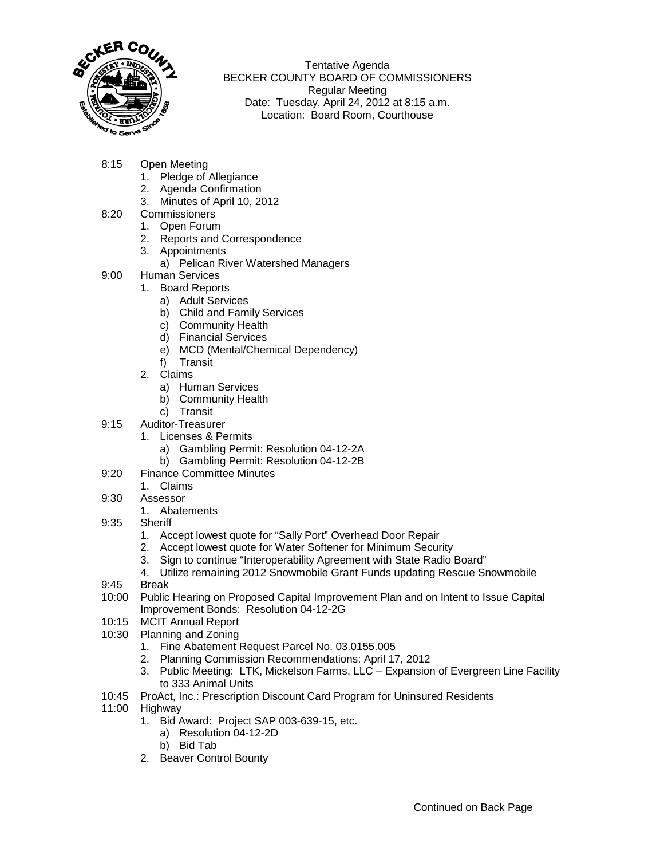

Tentative Agenda BECKER COUNTY BOARD OF COMMISSIONERS Regular Meeting Date: Tuesday, April 24, 2012 at 8:15 a.m. Location: Board Room, Courthouse

- 8:15 Open Meeting
	- 1. Pledge of Allegiance
	- 2. Agenda Confirmation
	- 3. Minutes of April 10, 2012
- 8:20 Commissioners
	- 1. Open Forum
	- 2. Reports and Correspondence
	- 3. Appointments
		- a) Pelican River Watershed Managers
- 9:00 Human Services
	- 1. Board Reports
		- a) Adult Services
		- b) Child and Family Services
		- c) Community Health
		- d) Financial Services
		- e) MCD (Mental/Chemical Dependency)
		- f) Transit
	- 2. Claims
		- a) Human Services
		- b) Community Health
	- c) Transit
- 9:15 Auditor-Treasurer
	- 1. Licenses & Permits
		- a) Gambling Permit: Resolution 04-12-2A
		- b) Gambling Permit: Resolution 04-12-2B
- 9:20 Finance Committee Minutes
	- 1. Claims
- 9:30 Assessor
	- 1. Abatements
- 9:35 Sheriff
	- 1. Accept lowest quote for "Sally Port" Overhead Door Repair
	- 2. Accept lowest quote for Water Softener for Minimum Security
	- 3. Sign to continue "Interoperability Agreement with State Radio Board"
	- 4. Utilize remaining 2012 Snowmobile Grant Funds updating Rescue Snowmobile
- 9:45 Break
- 10:00 Public Hearing on Proposed Capital Improvement Plan and on Intent to Issue Capital Improvement Bonds: Resolution 04-12-2G
- 10:15 MCIT Annual Report
- 10:30 Planning and Zoning
	- 1. Fine Abatement Request Parcel No. 03.0155.005
	- 2. Planning Commission Recommendations: April 17, 2012
	- 3. Public Meeting: LTK, Mickelson Farms, LLC Expansion of Evergreen Line Facility to 333 Animal Units
- 10:45 ProAct, Inc.: Prescription Discount Card Program for Uninsured Residents
- 11:00 Highway
	- 1. Bid Award: Project SAP 003-639-15, etc.
		- a) Resolution 04-12-2D
		- b) Bid Tab
	- 2. Beaver Control Bounty